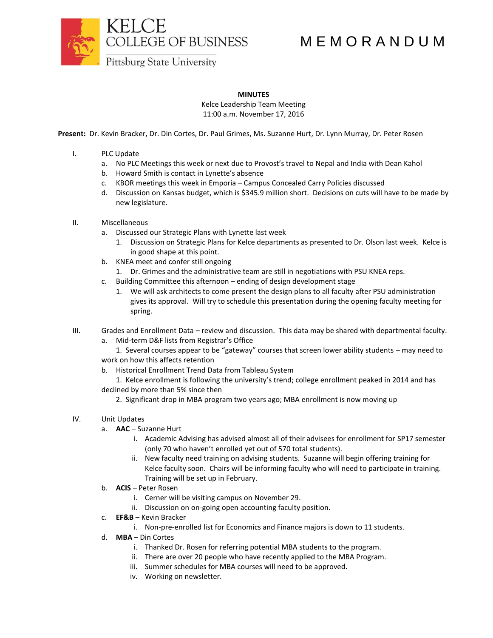

## M E M O R A N D U M

**MINUTES**

Kelce Leadership Team Meeting 11:00 a.m. November 17, 2016

**Present:** Dr. Kevin Bracker, Dr. Din Cortes, Dr. Paul Grimes, Ms. Suzanne Hurt, Dr. Lynn Murray, Dr. Peter Rosen

- I. PLC Update
	- a. No PLC Meetings this week or next due to Provost's travel to Nepal and India with Dean Kahol
	- b. Howard Smith is contact in Lynette's absence
	- c. KBOR meetings this week in Emporia Campus Concealed Carry Policies discussed
	- d. Discussion on Kansas budget, which is \$345.9 million short. Decisions on cuts will have to be made by new legislature.
- II. Miscellaneous
	- a. Discussed our Strategic Plans with Lynette last week
		- 1. Discussion on Strategic Plans for Kelce departments as presented to Dr. Olson last week. Kelce is in good shape at this point.
	- b. KNEA meet and confer still ongoing
		- 1. Dr. Grimes and the administrative team are still in negotiations with PSU KNEA reps.
	- c. Building Committee this afternoon ending of design development stage
		- 1. We will ask architects to come present the design plans to all faculty after PSU administration gives its approval. Will try to schedule this presentation during the opening faculty meeting for spring.
- III. Grades and Enrollment Data review and discussion. This data may be shared with departmental faculty.
	- a. Mid-term D&F lists from Registrar's Office
	- 1. Several courses appear to be "gateway" courses that screen lower ability students may need to work on how this affects retention
	- b. Historical Enrollment Trend Data from Tableau System
	- 1. Kelce enrollment is following the university's trend; college enrollment peaked in 2014 and has declined by more than 5% since then
		- 2. Significant drop in MBA program two years ago; MBA enrollment is now moving up
- IV. Unit Updates
	- a. **AAC** Suzanne Hurt
		- i. Academic Advising has advised almost all of their advisees for enrollment for SP17 semester (only 70 who haven't enrolled yet out of 570 total students).
		- ii. New faculty need training on advising students. Suzanne will begin offering training for Kelce faculty soon. Chairs will be informing faculty who will need to participate in training. Training will be set up in February.
	- b. **ACIS** Peter Rosen
		- i. Cerner will be visiting campus on November 29.
		- ii. Discussion on on-going open accounting faculty position.
	- c. **EF&B** Kevin Bracker
		- i. Non-pre-enrolled list for Economics and Finance majors is down to 11 students.
	- d. **MBA** Din Cortes
		- i. Thanked Dr. Rosen for referring potential MBA students to the program.
		- ii. There are over 20 people who have recently applied to the MBA Program.
		- iii. Summer schedules for MBA courses will need to be approved.
		- iv. Working on newsletter.